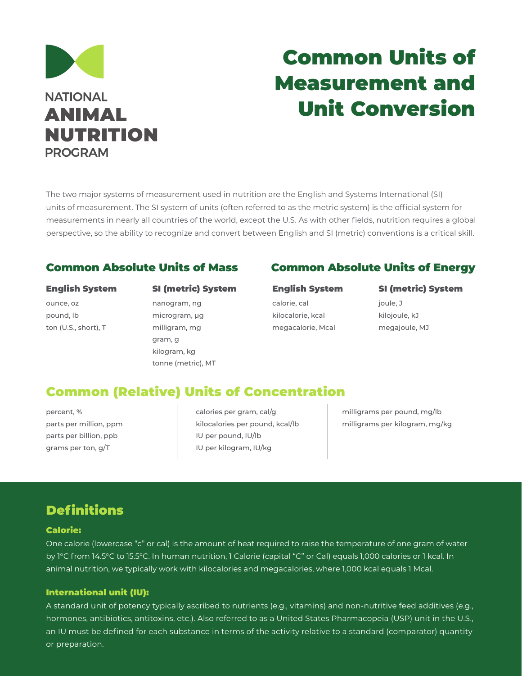

# Common Units of Measurement and Unit Conversion

The two major systems of measurement used in nutrition are the English and Systems International (SI) units of measurement. The SI system of units (often referred to as the metric system) is the official system for measurements in nearly all countries of the world, except the U.S. As with other fields, nutrition requires a global perspective, so the ability to recognize and convert between English and SI (metric) conventions is a critical skill.

#### English System

ounce, oz pound, lb ton (U.S., short), T

### SI (metric) System

nanogram, ng microgram, µg milligram, mg gram, g kilogram, kg tonne (metric), MT

### Common Absolute Units of Mass Common Absolute Units of Energy

#### English System

calorie, cal kilocalorie, kcal megacalorie, Mcal

#### SI (metric) System

joule, J kilojoule, kJ megajoule, MJ

### Common (Relative) Units of Concentration

percent, % parts per million, ppm parts per billion, ppb grams per ton, g/T

calories per gram, cal/g kilocalories per pound, kcal/lb IU per pound, IU/lb IU per kilogram, IU/kg

milligrams per pound, mg/lb milligrams per kilogram, mg/kg

### **Definitions**

#### Calorie:

One calorie (lowercase "c" or cal) is the amount of heat required to raise the temperature of one gram of water by 1°C from 14.5°C to 15.5°C. In human nutrition, 1 Calorie (capital "C" or Cal) equals 1,000 calories or 1 kcal. In animal nutrition, we typically work with kilocalories and megacalories, where 1,000 kcal equals 1 Mcal.

#### International unit (IU):

A standard unit of potency typically ascribed to nutrients (e.g., vitamins) and non-nutritive feed additives (e.g., hormones, antibiotics, antitoxins, etc.). Also referred to as a United States Pharmacopeia (USP) unit in the U.S., an IU must be defined for each substance in terms of the activity relative to a standard (comparator) quantity or preparation.